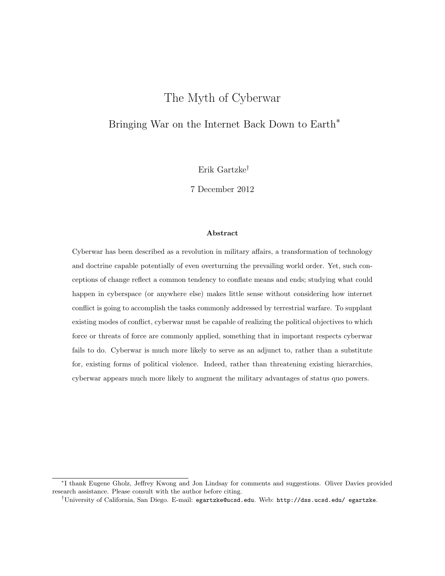# The Myth of Cyberwar

# Bringing War on the Internet Back Down to Earth<sup>\*</sup>

Erik Gartzke†

7 December 2012

#### Abstract

Cyberwar has been described as a revolution in military affairs, a transformation of technology and doctrine capable potentially of even overturning the prevailing world order. Yet, such conceptions of change reflect a common tendency to conflate means and ends; studying what could happen in cyberspace (or anywhere else) makes little sense without considering how internet conflict is going to accomplish the tasks commonly addressed by terrestrial warfare. To supplant existing modes of conflict, cyberwar must be capable of realizing the political objectives to which force or threats of force are commonly applied, something that in important respects cyberwar fails to do. Cyberwar is much more likely to serve as an adjunct to, rather than a substitute for, existing forms of political violence. Indeed, rather than threatening existing hierarchies, cyberwar appears much more likely to augment the military advantages of status quo powers.

<sup>∗</sup> I thank Eugene Gholz, Jeffrey Kwong and Jon Lindsay for comments and suggestions. Oliver Davies provided research assistance. Please consult with the author before citing.

<sup>†</sup>University of California, San Diego. E-mail: egartzke@ucsd.edu. Web: http://dss.ucsd.edu/ egartzke.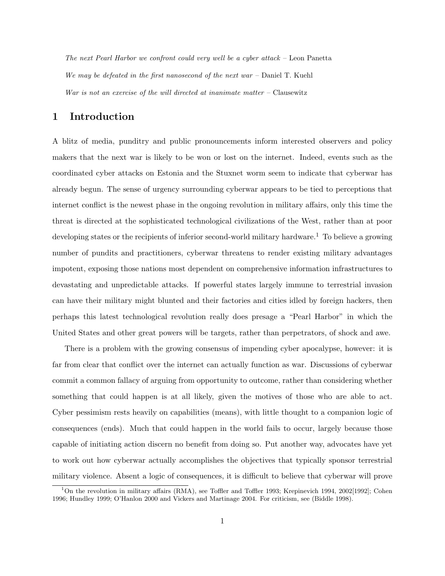The next Pearl Harbor we confront could very well be a cyber attack – Leon Panetta We may be defeated in the first nanosecond of the next war  $-$  Daniel T. Kuehl War is not an exercise of the will directed at inanimate matter  $-$  Clausewitz

# 1 Introduction

A blitz of media, punditry and public pronouncements inform interested observers and policy makers that the next war is likely to be won or lost on the internet. Indeed, events such as the coordinated cyber attacks on Estonia and the Stuxnet worm seem to indicate that cyberwar has already begun. The sense of urgency surrounding cyberwar appears to be tied to perceptions that internet conflict is the newest phase in the ongoing revolution in military affairs, only this time the threat is directed at the sophisticated technological civilizations of the West, rather than at poor developing states or the recipients of inferior second-world military hardware.<sup>1</sup> To believe a growing number of pundits and practitioners, cyberwar threatens to render existing military advantages impotent, exposing those nations most dependent on comprehensive information infrastructures to devastating and unpredictable attacks. If powerful states largely immune to terrestrial invasion can have their military might blunted and their factories and cities idled by foreign hackers, then perhaps this latest technological revolution really does presage a "Pearl Harbor" in which the United States and other great powers will be targets, rather than perpetrators, of shock and awe.

There is a problem with the growing consensus of impending cyber apocalypse, however: it is far from clear that conflict over the internet can actually function as war. Discussions of cyberwar commit a common fallacy of arguing from opportunity to outcome, rather than considering whether something that could happen is at all likely, given the motives of those who are able to act. Cyber pessimism rests heavily on capabilities (means), with little thought to a companion logic of consequences (ends). Much that could happen in the world fails to occur, largely because those capable of initiating action discern no benefit from doing so. Put another way, advocates have yet to work out how cyberwar actually accomplishes the objectives that typically sponsor terrestrial military violence. Absent a logic of consequences, it is difficult to believe that cyberwar will prove

<sup>&</sup>lt;sup>1</sup>On the revolution in military affairs (RMA), see Toffler and Toffler 1993; Krepinevich 1994, 2002[1992]; Cohen 1996; Hundley 1999; O'Hanlon 2000 and Vickers and Martinage 2004. For criticism, see (Biddle 1998).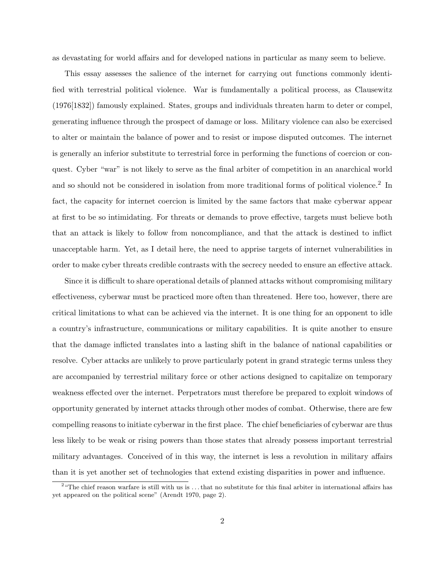as devastating for world affairs and for developed nations in particular as many seem to believe.

This essay assesses the salience of the internet for carrying out functions commonly identified with terrestrial political violence. War is fundamentally a political process, as Clausewitz (1976[1832]) famously explained. States, groups and individuals threaten harm to deter or compel, generating influence through the prospect of damage or loss. Military violence can also be exercised to alter or maintain the balance of power and to resist or impose disputed outcomes. The internet is generally an inferior substitute to terrestrial force in performing the functions of coercion or conquest. Cyber "war" is not likely to serve as the final arbiter of competition in an anarchical world and so should not be considered in isolation from more traditional forms of political violence.<sup>2</sup> In fact, the capacity for internet coercion is limited by the same factors that make cyberwar appear at first to be so intimidating. For threats or demands to prove effective, targets must believe both that an attack is likely to follow from noncompliance, and that the attack is destined to inflict unacceptable harm. Yet, as I detail here, the need to apprise targets of internet vulnerabilities in order to make cyber threats credible contrasts with the secrecy needed to ensure an effective attack.

Since it is difficult to share operational details of planned attacks without compromising military effectiveness, cyberwar must be practiced more often than threatened. Here too, however, there are critical limitations to what can be achieved via the internet. It is one thing for an opponent to idle a country's infrastructure, communications or military capabilities. It is quite another to ensure that the damage inflicted translates into a lasting shift in the balance of national capabilities or resolve. Cyber attacks are unlikely to prove particularly potent in grand strategic terms unless they are accompanied by terrestrial military force or other actions designed to capitalize on temporary weakness effected over the internet. Perpetrators must therefore be prepared to exploit windows of opportunity generated by internet attacks through other modes of combat. Otherwise, there are few compelling reasons to initiate cyberwar in the first place. The chief beneficiaries of cyberwar are thus less likely to be weak or rising powers than those states that already possess important terrestrial military advantages. Conceived of in this way, the internet is less a revolution in military affairs than it is yet another set of technologies that extend existing disparities in power and influence.

<sup>&</sup>lt;sup>2</sup> "The chief reason warfare is still with us is ... that no substitute for this final arbiter in international affairs has yet appeared on the political scene" (Arendt 1970, page 2).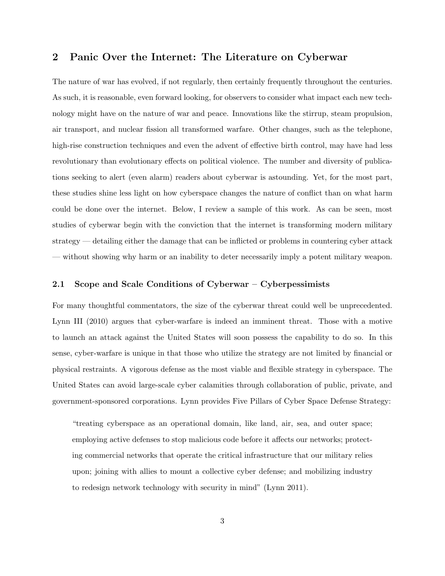# 2 Panic Over the Internet: The Literature on Cyberwar

The nature of war has evolved, if not regularly, then certainly frequently throughout the centuries. As such, it is reasonable, even forward looking, for observers to consider what impact each new technology might have on the nature of war and peace. Innovations like the stirrup, steam propulsion, air transport, and nuclear fission all transformed warfare. Other changes, such as the telephone, high-rise construction techniques and even the advent of effective birth control, may have had less revolutionary than evolutionary effects on political violence. The number and diversity of publications seeking to alert (even alarm) readers about cyberwar is astounding. Yet, for the most part, these studies shine less light on how cyberspace changes the nature of conflict than on what harm could be done over the internet. Below, I review a sample of this work. As can be seen, most studies of cyberwar begin with the conviction that the internet is transforming modern military strategy — detailing either the damage that can be inflicted or problems in countering cyber attack — without showing why harm or an inability to deter necessarily imply a potent military weapon.

## 2.1 Scope and Scale Conditions of Cyberwar – Cyberpessimists

For many thoughtful commentators, the size of the cyberwar threat could well be unprecedented. Lynn III (2010) argues that cyber-warfare is indeed an imminent threat. Those with a motive to launch an attack against the United States will soon possess the capability to do so. In this sense, cyber-warfare is unique in that those who utilize the strategy are not limited by financial or physical restraints. A vigorous defense as the most viable and flexible strategy in cyberspace. The United States can avoid large-scale cyber calamities through collaboration of public, private, and government-sponsored corporations. Lynn provides Five Pillars of Cyber Space Defense Strategy:

"treating cyberspace as an operational domain, like land, air, sea, and outer space; employing active defenses to stop malicious code before it affects our networks; protecting commercial networks that operate the critical infrastructure that our military relies upon; joining with allies to mount a collective cyber defense; and mobilizing industry to redesign network technology with security in mind" (Lynn 2011).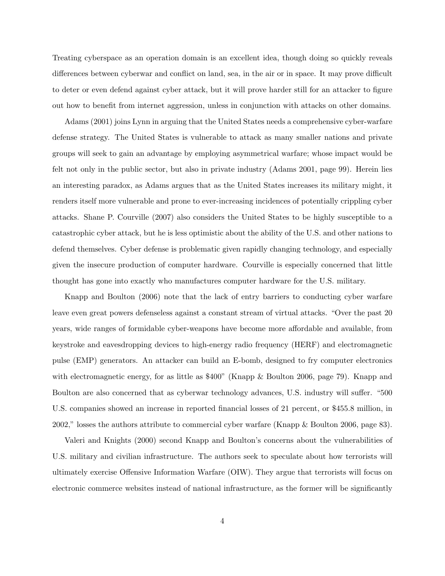Treating cyberspace as an operation domain is an excellent idea, though doing so quickly reveals differences between cyberwar and conflict on land, sea, in the air or in space. It may prove difficult to deter or even defend against cyber attack, but it will prove harder still for an attacker to figure out how to benefit from internet aggression, unless in conjunction with attacks on other domains.

Adams (2001) joins Lynn in arguing that the United States needs a comprehensive cyber-warfare defense strategy. The United States is vulnerable to attack as many smaller nations and private groups will seek to gain an advantage by employing asymmetrical warfare; whose impact would be felt not only in the public sector, but also in private industry (Adams 2001, page 99). Herein lies an interesting paradox, as Adams argues that as the United States increases its military might, it renders itself more vulnerable and prone to ever-increasing incidences of potentially crippling cyber attacks. Shane P. Courville (2007) also considers the United States to be highly susceptible to a catastrophic cyber attack, but he is less optimistic about the ability of the U.S. and other nations to defend themselves. Cyber defense is problematic given rapidly changing technology, and especially given the insecure production of computer hardware. Courville is especially concerned that little thought has gone into exactly who manufactures computer hardware for the U.S. military.

Knapp and Boulton (2006) note that the lack of entry barriers to conducting cyber warfare leave even great powers defenseless against a constant stream of virtual attacks. "Over the past 20 years, wide ranges of formidable cyber-weapons have become more affordable and available, from keystroke and eavesdropping devices to high-energy radio frequency (HERF) and electromagnetic pulse (EMP) generators. An attacker can build an E-bomb, designed to fry computer electronics with electromagnetic energy, for as little as \$400" (Knapp & Boulton 2006, page 79). Knapp and Boulton are also concerned that as cyberwar technology advances, U.S. industry will suffer. "500 U.S. companies showed an increase in reported financial losses of 21 percent, or \$455.8 million, in 2002," losses the authors attribute to commercial cyber warfare (Knapp & Boulton 2006, page 83).

Valeri and Knights (2000) second Knapp and Boulton's concerns about the vulnerabilities of U.S. military and civilian infrastructure. The authors seek to speculate about how terrorists will ultimately exercise Offensive Information Warfare (OIW). They argue that terrorists will focus on electronic commerce websites instead of national infrastructure, as the former will be significantly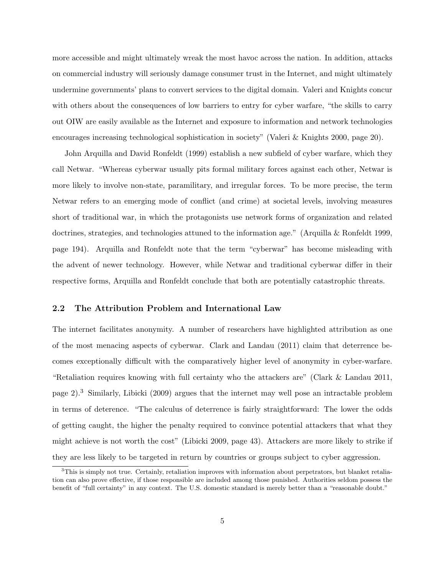more accessible and might ultimately wreak the most havoc across the nation. In addition, attacks on commercial industry will seriously damage consumer trust in the Internet, and might ultimately undermine governments' plans to convert services to the digital domain. Valeri and Knights concur with others about the consequences of low barriers to entry for cyber warfare, "the skills to carry out OIW are easily available as the Internet and exposure to information and network technologies encourages increasing technological sophistication in society" (Valeri & Knights 2000, page 20).

John Arquilla and David Ronfeldt (1999) establish a new subfield of cyber warfare, which they call Netwar. "Whereas cyberwar usually pits formal military forces against each other, Netwar is more likely to involve non-state, paramilitary, and irregular forces. To be more precise, the term Netwar refers to an emerging mode of conflict (and crime) at societal levels, involving measures short of traditional war, in which the protagonists use network forms of organization and related doctrines, strategies, and technologies attuned to the information age." (Arquilla & Ronfeldt 1999, page 194). Arquilla and Ronfeldt note that the term "cyberwar" has become misleading with the advent of newer technology. However, while Netwar and traditional cyberwar differ in their respective forms, Arquilla and Ronfeldt conclude that both are potentially catastrophic threats.

#### 2.2 The Attribution Problem and International Law

The internet facilitates anonymity. A number of researchers have highlighted attribution as one of the most menacing aspects of cyberwar. Clark and Landau (2011) claim that deterrence becomes exceptionally difficult with the comparatively higher level of anonymity in cyber-warfare. "Retaliation requires knowing with full certainty who the attackers are" (Clark & Landau 2011, page 2).<sup>3</sup> Similarly, Libicki (2009) argues that the internet may well pose an intractable problem in terms of deterence. "The calculus of deterrence is fairly straightforward: The lower the odds of getting caught, the higher the penalty required to convince potential attackers that what they might achieve is not worth the cost" (Libicki 2009, page 43). Attackers are more likely to strike if they are less likely to be targeted in return by countries or groups subject to cyber aggression.

<sup>&</sup>lt;sup>3</sup>This is simply not true. Certainly, retaliation improves with information about perpetrators, but blanket retaliation can also prove effective, if those responsible are included among those punished. Authorities seldom possess the benefit of "full certainty" in any context. The U.S. domestic standard is merely better than a "reasonable doubt."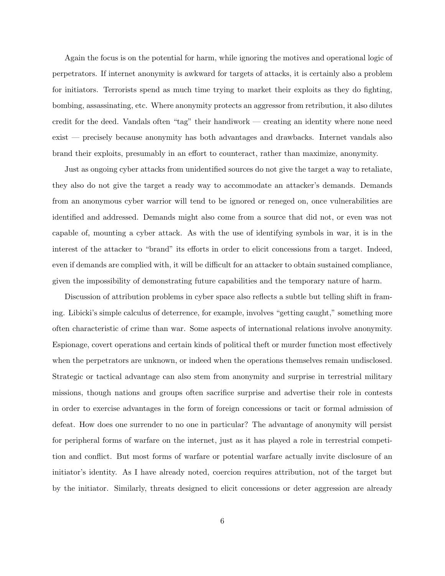Again the focus is on the potential for harm, while ignoring the motives and operational logic of perpetrators. If internet anonymity is awkward for targets of attacks, it is certainly also a problem for initiators. Terrorists spend as much time trying to market their exploits as they do fighting, bombing, assassinating, etc. Where anonymity protects an aggressor from retribution, it also dilutes credit for the deed. Vandals often "tag" their handiwork — creating an identity where none need exist — precisely because anonymity has both advantages and drawbacks. Internet vandals also brand their exploits, presumably in an effort to counteract, rather than maximize, anonymity.

Just as ongoing cyber attacks from unidentified sources do not give the target a way to retaliate, they also do not give the target a ready way to accommodate an attacker's demands. Demands from an anonymous cyber warrior will tend to be ignored or reneged on, once vulnerabilities are identified and addressed. Demands might also come from a source that did not, or even was not capable of, mounting a cyber attack. As with the use of identifying symbols in war, it is in the interest of the attacker to "brand" its efforts in order to elicit concessions from a target. Indeed, even if demands are complied with, it will be difficult for an attacker to obtain sustained compliance, given the impossibility of demonstrating future capabilities and the temporary nature of harm.

Discussion of attribution problems in cyber space also reflects a subtle but telling shift in framing. Libicki's simple calculus of deterrence, for example, involves "getting caught," something more often characteristic of crime than war. Some aspects of international relations involve anonymity. Espionage, covert operations and certain kinds of political theft or murder function most effectively when the perpetrators are unknown, or indeed when the operations themselves remain undisclosed. Strategic or tactical advantage can also stem from anonymity and surprise in terrestrial military missions, though nations and groups often sacrifice surprise and advertise their role in contests in order to exercise advantages in the form of foreign concessions or tacit or formal admission of defeat. How does one surrender to no one in particular? The advantage of anonymity will persist for peripheral forms of warfare on the internet, just as it has played a role in terrestrial competition and conflict. But most forms of warfare or potential warfare actually invite disclosure of an initiator's identity. As I have already noted, coercion requires attribution, not of the target but by the initiator. Similarly, threats designed to elicit concessions or deter aggression are already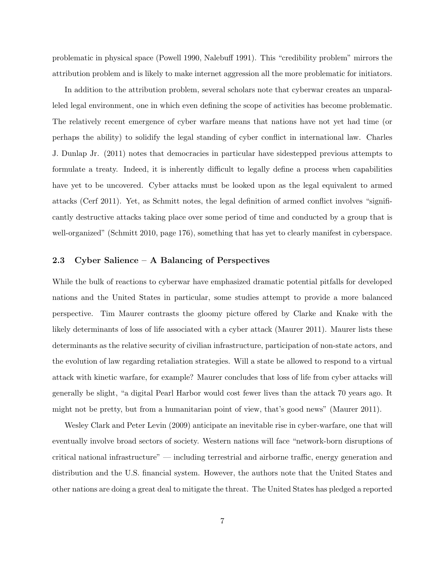problematic in physical space (Powell 1990, Nalebuff 1991). This "credibility problem" mirrors the attribution problem and is likely to make internet aggression all the more problematic for initiators.

In addition to the attribution problem, several scholars note that cyberwar creates an unparalleled legal environment, one in which even defining the scope of activities has become problematic. The relatively recent emergence of cyber warfare means that nations have not yet had time (or perhaps the ability) to solidify the legal standing of cyber conflict in international law. Charles J. Dunlap Jr. (2011) notes that democracies in particular have sidestepped previous attempts to formulate a treaty. Indeed, it is inherently difficult to legally define a process when capabilities have yet to be uncovered. Cyber attacks must be looked upon as the legal equivalent to armed attacks (Cerf 2011). Yet, as Schmitt notes, the legal definition of armed conflict involves "significantly destructive attacks taking place over some period of time and conducted by a group that is well-organized" (Schmitt 2010, page 176), something that has yet to clearly manifest in cyberspace.

## 2.3 Cyber Salience – A Balancing of Perspectives

While the bulk of reactions to cyberwar have emphasized dramatic potential pitfalls for developed nations and the United States in particular, some studies attempt to provide a more balanced perspective. Tim Maurer contrasts the gloomy picture offered by Clarke and Knake with the likely determinants of loss of life associated with a cyber attack (Maurer 2011). Maurer lists these determinants as the relative security of civilian infrastructure, participation of non-state actors, and the evolution of law regarding retaliation strategies. Will a state be allowed to respond to a virtual attack with kinetic warfare, for example? Maurer concludes that loss of life from cyber attacks will generally be slight, "a digital Pearl Harbor would cost fewer lives than the attack 70 years ago. It might not be pretty, but from a humanitarian point of view, that's good news" (Maurer 2011).

Wesley Clark and Peter Levin (2009) anticipate an inevitable rise in cyber-warfare, one that will eventually involve broad sectors of society. Western nations will face "network-born disruptions of critical national infrastructure" — including terrestrial and airborne traffic, energy generation and distribution and the U.S. financial system. However, the authors note that the United States and other nations are doing a great deal to mitigate the threat. The United States has pledged a reported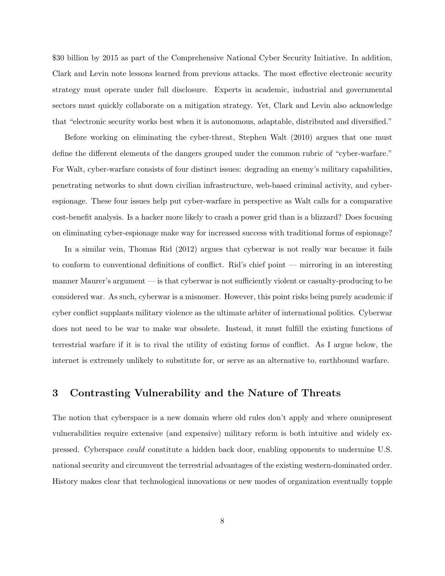\$30 billion by 2015 as part of the Comprehensive National Cyber Security Initiative. In addition, Clark and Levin note lessons learned from previous attacks. The most effective electronic security strategy must operate under full disclosure. Experts in academic, industrial and governmental sectors must quickly collaborate on a mitigation strategy. Yet, Clark and Levin also acknowledge that "electronic security works best when it is autonomous, adaptable, distributed and diversified."

Before working on eliminating the cyber-threat, Stephen Walt (2010) argues that one must define the different elements of the dangers grouped under the common rubric of "cyber-warfare." For Walt, cyber-warfare consists of four distinct issues: degrading an enemy's military capabilities, penetrating networks to shut down civilian infrastructure, web-based criminal activity, and cyberespionage. These four issues help put cyber-warfare in perspective as Walt calls for a comparative cost-benefit analysis. Is a hacker more likely to crash a power grid than is a blizzard? Does focusing on eliminating cyber-espionage make way for increased success with traditional forms of espionage?

In a similar vein, Thomas Rid (2012) argues that cyberwar is not really war because it fails to conform to conventional definitions of conflict. Rid's chief point — mirroring in an interesting manner Maurer's argument — is that cyberwar is not sufficiently violent or casualty-producing to be considered war. As such, cyberwar is a misnomer. However, this point risks being purely academic if cyber conflict supplants military violence as the ultimate arbiter of international politics. Cyberwar does not need to be war to make war obsolete. Instead, it must fulfill the existing functions of terrestrial warfare if it is to rival the utility of existing forms of conflict. As I argue below, the internet is extremely unlikely to substitute for, or serve as an alternative to, earthbound warfare.

# 3 Contrasting Vulnerability and the Nature of Threats

The notion that cyberspace is a new domain where old rules don't apply and where omnipresent vulnerabilities require extensive (and expensive) military reform is both intuitive and widely expressed. Cyberspace could constitute a hidden back door, enabling opponents to undermine U.S. national security and circumvent the terrestrial advantages of the existing western-dominated order. History makes clear that technological innovations or new modes of organization eventually topple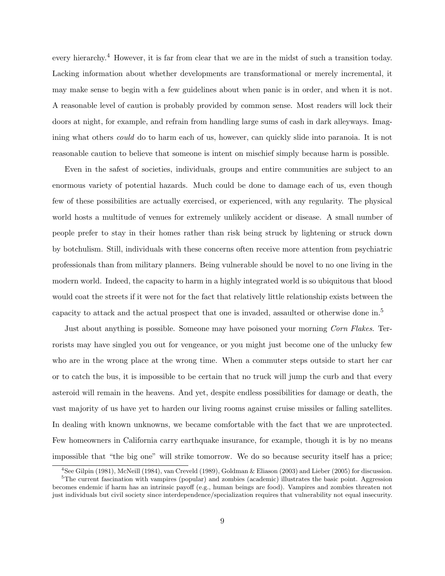every hierarchy.<sup>4</sup> However, it is far from clear that we are in the midst of such a transition today. Lacking information about whether developments are transformational or merely incremental, it may make sense to begin with a few guidelines about when panic is in order, and when it is not. A reasonable level of caution is probably provided by common sense. Most readers will lock their doors at night, for example, and refrain from handling large sums of cash in dark alleyways. Imagining what others could do to harm each of us, however, can quickly slide into paranoia. It is not reasonable caution to believe that someone is intent on mischief simply because harm is possible.

Even in the safest of societies, individuals, groups and entire communities are subject to an enormous variety of potential hazards. Much could be done to damage each of us, even though few of these possibilities are actually exercised, or experienced, with any regularity. The physical world hosts a multitude of venues for extremely unlikely accident or disease. A small number of people prefer to stay in their homes rather than risk being struck by lightening or struck down by botchulism. Still, individuals with these concerns often receive more attention from psychiatric professionals than from military planners. Being vulnerable should be novel to no one living in the modern world. Indeed, the capacity to harm in a highly integrated world is so ubiquitous that blood would coat the streets if it were not for the fact that relatively little relationship exists between the capacity to attack and the actual prospect that one is invaded, assaulted or otherwise done in.<sup>5</sup>

Just about anything is possible. Someone may have poisoned your morning Corn Flakes. Terrorists may have singled you out for vengeance, or you might just become one of the unlucky few who are in the wrong place at the wrong time. When a commuter steps outside to start her car or to catch the bus, it is impossible to be certain that no truck will jump the curb and that every asteroid will remain in the heavens. And yet, despite endless possibilities for damage or death, the vast majority of us have yet to harden our living rooms against cruise missiles or falling satellites. In dealing with known unknowns, we became comfortable with the fact that we are unprotected. Few homeowners in California carry earthquake insurance, for example, though it is by no means impossible that "the big one" will strike tomorrow. We do so because security itself has a price;

<sup>4</sup>See Gilpin (1981), McNeill (1984), van Creveld (1989), Goldman & Eliason (2003) and Lieber (2005) for discussion. <sup>5</sup>The current fascination with vampires (popular) and zombies (academic) illustrates the basic point. Aggression becomes endemic if harm has an intrinsic payoff (e.g., human beings are food). Vampires and zombies threaten not

just individuals but civil society since interdependence/specialization requires that vulnerability not equal insecurity.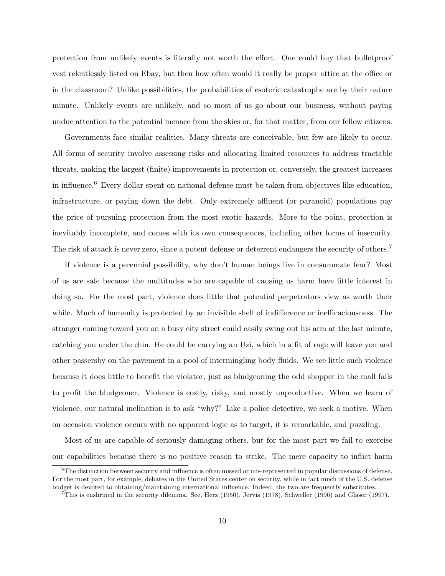protection from unlikely events is literally not worth the effort. One could buy that bulletproof vest relentlessly listed on Ebay, but then how often would it really be proper attire at the office or in the classroom? Unlike possibilities, the probabilities of esoteric catastrophe are by their nature minute. Unlikely events are unlikely, and so most of us go about our business, without paying undue attention to the potential menace from the skies or, for that matter, from our fellow citizens.

Governments face similar realities. Many threats are conceivable, but few are likely to occur. All forms of security involve assessing risks and allocating limited resources to address tractable threats, making the largest (finite) improvements in protection or, conversely, the greatest increases in influence.<sup>6</sup> Every dollar spent on national defense must be taken from objectives like education, infrastructure, or paying down the debt. Only extremely affluent (or paranoid) populations pay the price of pursuing protection from the most exotic hazards. More to the point, protection is inevitably incomplete, and comes with its own consequences, including other forms of insecurity. The risk of attack is never zero, since a potent defense or deterrent endangers the security of others.<sup>7</sup>

If violence is a perennial possibility, why don't human beings live in consummate fear? Most of us are safe because the multitudes who are capable of causing us harm have little interest in doing so. For the most part, violence does little that potential perpetrators view as worth their while. Much of humanity is protected by an invisible shell of indifference or inefficaciousness. The stranger coming toward you on a busy city street could easily swing out his arm at the last minute, catching you under the chin. He could be carrying an Uzi, which in a fit of rage will leave you and other passersby on the pavement in a pool of intermingling body fluids. We see little such violence because it does little to benefit the violator, just as bludgeoning the odd shopper in the mall fails to profit the bludgeoner. Violence is costly, risky, and mostly unproductive. When we learn of violence, our natural inclination is to ask "why?" Like a police detective, we seek a motive. When on occasion violence occurs with no apparent logic as to target, it is remarkable, and puzzling.

Most of us are capable of seriously damaging others, but for the most part we fail to exercise our capabilities because there is no positive reason to strike. The mere capacity to inflict harm

<sup>&</sup>lt;sup>6</sup>The distinction between security and influence is often missed or mis-represented in popular discussions of defense. For the most part, for example, debates in the United States center on security, while in fact much of the U.S. defense budget is devoted to obtaining/maintaining international influence. Indeed, the two are frequently substitutes.

<sup>&</sup>lt;sup>7</sup>This is enshrined in the security dilemma. See, Herz (1950), Jervis (1978), Schweller (1996) and Glaser (1997).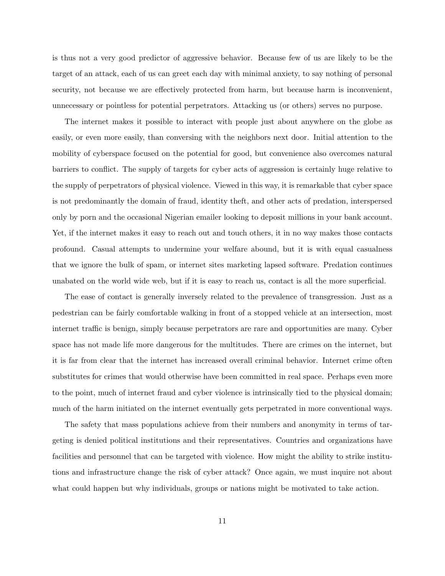is thus not a very good predictor of aggressive behavior. Because few of us are likely to be the target of an attack, each of us can greet each day with minimal anxiety, to say nothing of personal security, not because we are effectively protected from harm, but because harm is inconvenient, unnecessary or pointless for potential perpetrators. Attacking us (or others) serves no purpose.

The internet makes it possible to interact with people just about anywhere on the globe as easily, or even more easily, than conversing with the neighbors next door. Initial attention to the mobility of cyberspace focused on the potential for good, but convenience also overcomes natural barriers to conflict. The supply of targets for cyber acts of aggression is certainly huge relative to the supply of perpetrators of physical violence. Viewed in this way, it is remarkable that cyber space is not predominantly the domain of fraud, identity theft, and other acts of predation, interspersed only by porn and the occasional Nigerian emailer looking to deposit millions in your bank account. Yet, if the internet makes it easy to reach out and touch others, it in no way makes those contacts profound. Casual attempts to undermine your welfare abound, but it is with equal casualness that we ignore the bulk of spam, or internet sites marketing lapsed software. Predation continues unabated on the world wide web, but if it is easy to reach us, contact is all the more superficial.

The ease of contact is generally inversely related to the prevalence of transgression. Just as a pedestrian can be fairly comfortable walking in front of a stopped vehicle at an intersection, most internet traffic is benign, simply because perpetrators are rare and opportunities are many. Cyber space has not made life more dangerous for the multitudes. There are crimes on the internet, but it is far from clear that the internet has increased overall criminal behavior. Internet crime often substitutes for crimes that would otherwise have been committed in real space. Perhaps even more to the point, much of internet fraud and cyber violence is intrinsically tied to the physical domain; much of the harm initiated on the internet eventually gets perpetrated in more conventional ways.

The safety that mass populations achieve from their numbers and anonymity in terms of targeting is denied political institutions and their representatives. Countries and organizations have facilities and personnel that can be targeted with violence. How might the ability to strike institutions and infrastructure change the risk of cyber attack? Once again, we must inquire not about what could happen but why individuals, groups or nations might be motivated to take action.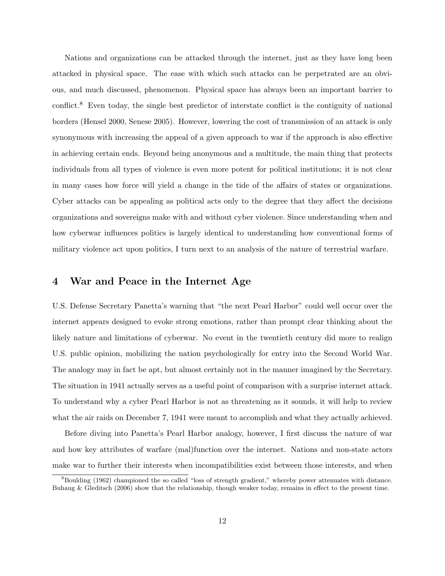Nations and organizations can be attacked through the internet, just as they have long been attacked in physical space. The ease with which such attacks can be perpetrated are an obvious, and much discussed, phenomenon. Physical space has always been an important barrier to conflict.<sup>8</sup> Even today, the single best predictor of interstate conflict is the contiguity of national borders (Hensel 2000, Senese 2005). However, lowering the cost of transmission of an attack is only synonymous with increasing the appeal of a given approach to war if the approach is also effective in achieving certain ends. Beyond being anonymous and a multitude, the main thing that protects individuals from all types of violence is even more potent for political institutions; it is not clear in many cases how force will yield a change in the tide of the affairs of states or organizations. Cyber attacks can be appealing as political acts only to the degree that they affect the decisions organizations and sovereigns make with and without cyber violence. Since understanding when and how cyberwar influences politics is largely identical to understanding how conventional forms of military violence act upon politics, I turn next to an analysis of the nature of terrestrial warfare.

## 4 War and Peace in the Internet Age

U.S. Defense Secretary Panetta's warning that "the next Pearl Harbor" could well occur over the internet appears designed to evoke strong emotions, rather than prompt clear thinking about the likely nature and limitations of cyberwar. No event in the twentieth century did more to realign U.S. public opinion, mobilizing the nation psychologically for entry into the Second World War. The analogy may in fact be apt, but almost certainly not in the manner imagined by the Secretary. The situation in 1941 actually serves as a useful point of comparison with a surprise internet attack. To understand why a cyber Pearl Harbor is not as threatening as it sounds, it will help to review what the air raids on December 7, 1941 were meant to accomplish and what they actually achieved.

Before diving into Panetta's Pearl Harbor analogy, however, I first discuss the nature of war and how key attributes of warfare (mal)function over the internet. Nations and non-state actors make war to further their interests when incompatibilities exist between those interests, and when

<sup>&</sup>lt;sup>8</sup>Boulding (1962) championed the so called "loss of strength gradient," whereby power attenuates with distance. Buhaug & Gleditsch (2006) show that the relationship, though weaker today, remains in effect to the present time.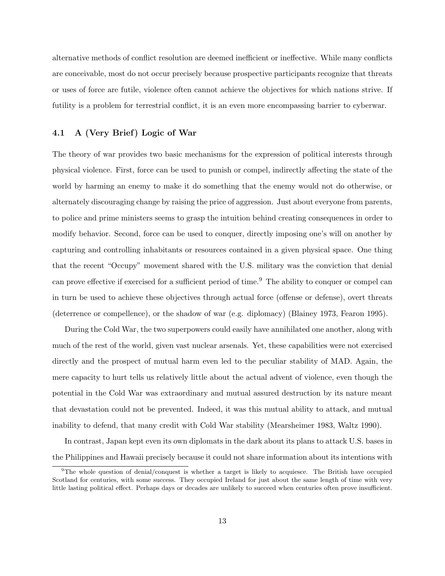alternative methods of conflict resolution are deemed inefficient or ineffective. While many conflicts are conceivable, most do not occur precisely because prospective participants recognize that threats or uses of force are futile, violence often cannot achieve the objectives for which nations strive. If futility is a problem for terrestrial conflict, it is an even more encompassing barrier to cyberwar.

## 4.1 A (Very Brief) Logic of War

The theory of war provides two basic mechanisms for the expression of political interests through physical violence. First, force can be used to punish or compel, indirectly affecting the state of the world by harming an enemy to make it do something that the enemy would not do otherwise, or alternately discouraging change by raising the price of aggression. Just about everyone from parents, to police and prime ministers seems to grasp the intuition behind creating consequences in order to modify behavior. Second, force can be used to conquer, directly imposing one's will on another by capturing and controlling inhabitants or resources contained in a given physical space. One thing that the recent "Occupy" movement shared with the U.S. military was the conviction that denial can prove effective if exercised for a sufficient period of time.<sup>9</sup> The ability to conquer or compel can in turn be used to achieve these objectives through actual force (offense or defense), overt threats (deterrence or compellence), or the shadow of war (e.g. diplomacy) (Blainey 1973, Fearon 1995).

During the Cold War, the two superpowers could easily have annihilated one another, along with much of the rest of the world, given vast nuclear arsenals. Yet, these capabilities were not exercised directly and the prospect of mutual harm even led to the peculiar stability of MAD. Again, the mere capacity to hurt tells us relatively little about the actual advent of violence, even though the potential in the Cold War was extraordinary and mutual assured destruction by its nature meant that devastation could not be prevented. Indeed, it was this mutual ability to attack, and mutual inability to defend, that many credit with Cold War stability (Mearsheimer 1983, Waltz 1990).

In contrast, Japan kept even its own diplomats in the dark about its plans to attack U.S. bases in the Philippines and Hawaii precisely because it could not share information about its intentions with

<sup>&</sup>lt;sup>9</sup>The whole question of denial/conquest is whether a target is likely to acquiesce. The British have occupied Scotland for centuries, with some success. They occupied Ireland for just about the same length of time with very little lasting political effect. Perhaps days or decades are unlikely to succeed when centuries often prove insufficient.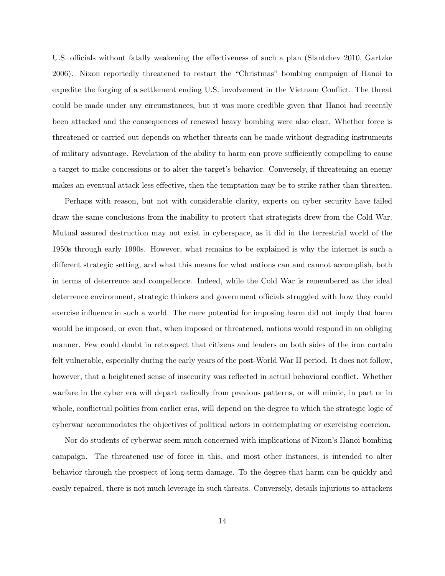U.S. officials without fatally weakening the effectiveness of such a plan (Slantchev 2010, Gartzke 2006). Nixon reportedly threatened to restart the "Christmas" bombing campaign of Hanoi to expedite the forging of a settlement ending U.S. involvement in the Vietnam Conflict. The threat could be made under any circumstances, but it was more credible given that Hanoi had recently been attacked and the consequences of renewed heavy bombing were also clear. Whether force is threatened or carried out depends on whether threats can be made without degrading instruments of military advantage. Revelation of the ability to harm can prove sufficiently compelling to cause a target to make concessions or to alter the target's behavior. Conversely, if threatening an enemy makes an eventual attack less effective, then the temptation may be to strike rather than threaten.

Perhaps with reason, but not with considerable clarity, experts on cyber security have failed draw the same conclusions from the inability to protect that strategists drew from the Cold War. Mutual assured destruction may not exist in cyberspace, as it did in the terrestrial world of the 1950s through early 1990s. However, what remains to be explained is why the internet is such a different strategic setting, and what this means for what nations can and cannot accomplish, both in terms of deterrence and compellence. Indeed, while the Cold War is remembered as the ideal deterrence environment, strategic thinkers and government officials struggled with how they could exercise influence in such a world. The mere potential for imposing harm did not imply that harm would be imposed, or even that, when imposed or threatened, nations would respond in an obliging manner. Few could doubt in retrospect that citizens and leaders on both sides of the iron curtain felt vulnerable, especially during the early years of the post-World War II period. It does not follow, however, that a heightened sense of insecurity was reflected in actual behavioral conflict. Whether warfare in the cyber era will depart radically from previous patterns, or will mimic, in part or in whole, conflictual politics from earlier eras, will depend on the degree to which the strategic logic of cyberwar accommodates the objectives of political actors in contemplating or exercising coercion.

Nor do students of cyberwar seem much concerned with implications of Nixon's Hanoi bombing campaign. The threatened use of force in this, and most other instances, is intended to alter behavior through the prospect of long-term damage. To the degree that harm can be quickly and easily repaired, there is not much leverage in such threats. Conversely, details injurious to attackers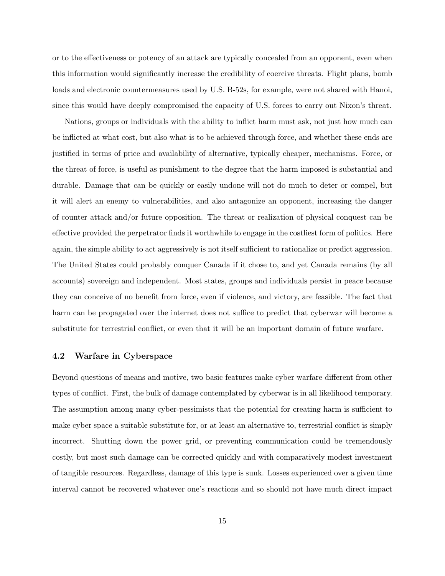or to the effectiveness or potency of an attack are typically concealed from an opponent, even when this information would significantly increase the credibility of coercive threats. Flight plans, bomb loads and electronic countermeasures used by U.S. B-52s, for example, were not shared with Hanoi, since this would have deeply compromised the capacity of U.S. forces to carry out Nixon's threat.

Nations, groups or individuals with the ability to inflict harm must ask, not just how much can be inflicted at what cost, but also what is to be achieved through force, and whether these ends are justified in terms of price and availability of alternative, typically cheaper, mechanisms. Force, or the threat of force, is useful as punishment to the degree that the harm imposed is substantial and durable. Damage that can be quickly or easily undone will not do much to deter or compel, but it will alert an enemy to vulnerabilities, and also antagonize an opponent, increasing the danger of counter attack and/or future opposition. The threat or realization of physical conquest can be effective provided the perpetrator finds it worthwhile to engage in the costliest form of politics. Here again, the simple ability to act aggressively is not itself sufficient to rationalize or predict aggression. The United States could probably conquer Canada if it chose to, and yet Canada remains (by all accounts) sovereign and independent. Most states, groups and individuals persist in peace because they can conceive of no benefit from force, even if violence, and victory, are feasible. The fact that harm can be propagated over the internet does not suffice to predict that cyberwar will become a substitute for terrestrial conflict, or even that it will be an important domain of future warfare.

## 4.2 Warfare in Cyberspace

Beyond questions of means and motive, two basic features make cyber warfare different from other types of conflict. First, the bulk of damage contemplated by cyberwar is in all likelihood temporary. The assumption among many cyber-pessimists that the potential for creating harm is sufficient to make cyber space a suitable substitute for, or at least an alternative to, terrestrial conflict is simply incorrect. Shutting down the power grid, or preventing communication could be tremendously costly, but most such damage can be corrected quickly and with comparatively modest investment of tangible resources. Regardless, damage of this type is sunk. Losses experienced over a given time interval cannot be recovered whatever one's reactions and so should not have much direct impact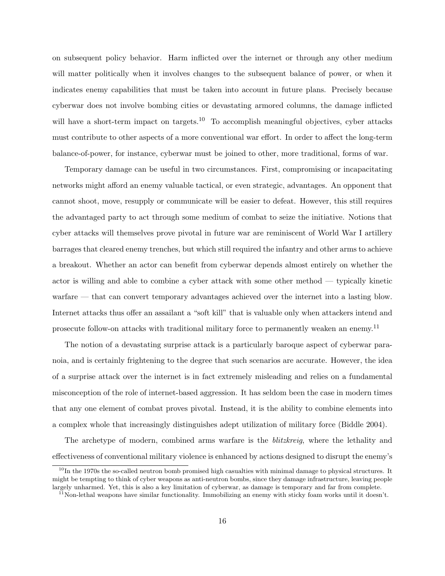on subsequent policy behavior. Harm inflicted over the internet or through any other medium will matter politically when it involves changes to the subsequent balance of power, or when it indicates enemy capabilities that must be taken into account in future plans. Precisely because cyberwar does not involve bombing cities or devastating armored columns, the damage inflicted will have a short-term impact on targets.<sup>10</sup> To accomplish meaningful objectives, cyber attacks must contribute to other aspects of a more conventional war effort. In order to affect the long-term balance-of-power, for instance, cyberwar must be joined to other, more traditional, forms of war.

Temporary damage can be useful in two circumstances. First, compromising or incapacitating networks might afford an enemy valuable tactical, or even strategic, advantages. An opponent that cannot shoot, move, resupply or communicate will be easier to defeat. However, this still requires the advantaged party to act through some medium of combat to seize the initiative. Notions that cyber attacks will themselves prove pivotal in future war are reminiscent of World War I artillery barrages that cleared enemy trenches, but which still required the infantry and other arms to achieve a breakout. Whether an actor can benefit from cyberwar depends almost entirely on whether the actor is willing and able to combine a cyber attack with some other method — typically kinetic warfare — that can convert temporary advantages achieved over the internet into a lasting blow. Internet attacks thus offer an assailant a "soft kill" that is valuable only when attackers intend and prosecute follow-on attacks with traditional military force to permanently weaken an enemy.<sup>11</sup>

The notion of a devastating surprise attack is a particularly baroque aspect of cyberwar paranoia, and is certainly frightening to the degree that such scenarios are accurate. However, the idea of a surprise attack over the internet is in fact extremely misleading and relies on a fundamental misconception of the role of internet-based aggression. It has seldom been the case in modern times that any one element of combat proves pivotal. Instead, it is the ability to combine elements into a complex whole that increasingly distinguishes adept utilization of military force (Biddle 2004).

The archetype of modern, combined arms warfare is the *blitzkreig*, where the lethality and effectiveness of conventional military violence is enhanced by actions designed to disrupt the enemy's

 $10$ In the 1970s the so-called neutron bomb promised high casualties with minimal damage to physical structures. It might be tempting to think of cyber weapons as anti-neutron bombs, since they damage infrastructure, leaving people largely unharmed. Yet, this is also a key limitation of cyberwar, as damage is temporary and far from complete.

 $11$ Non-lethal weapons have similar functionality. Immobilizing an enemy with sticky foam works until it doesn't.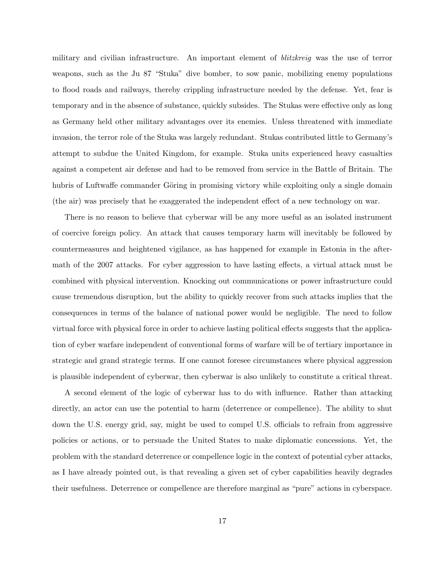military and civilian infrastructure. An important element of *blitzkreig* was the use of terror weapons, such as the Ju 87 "Stuka" dive bomber, to sow panic, mobilizing enemy populations to flood roads and railways, thereby crippling infrastructure needed by the defense. Yet, fear is temporary and in the absence of substance, quickly subsides. The Stukas were effective only as long as Germany held other military advantages over its enemies. Unless threatened with immediate invasion, the terror role of the Stuka was largely redundant. Stukas contributed little to Germany's attempt to subdue the United Kingdom, for example. Stuka units experienced heavy casualties against a competent air defense and had to be removed from service in the Battle of Britain. The hubris of Luftwaffe commander Göring in promising victory while exploiting only a single domain (the air) was precisely that he exaggerated the independent effect of a new technology on war.

There is no reason to believe that cyberwar will be any more useful as an isolated instrument of coercive foreign policy. An attack that causes temporary harm will inevitably be followed by countermeasures and heightened vigilance, as has happened for example in Estonia in the aftermath of the 2007 attacks. For cyber aggression to have lasting effects, a virtual attack must be combined with physical intervention. Knocking out communications or power infrastructure could cause tremendous disruption, but the ability to quickly recover from such attacks implies that the consequences in terms of the balance of national power would be negligible. The need to follow virtual force with physical force in order to achieve lasting political effects suggests that the application of cyber warfare independent of conventional forms of warfare will be of tertiary importance in strategic and grand strategic terms. If one cannot foresee circumstances where physical aggression is plausible independent of cyberwar, then cyberwar is also unlikely to constitute a critical threat.

A second element of the logic of cyberwar has to do with influence. Rather than attacking directly, an actor can use the potential to harm (deterrence or compellence). The ability to shut down the U.S. energy grid, say, might be used to compel U.S. officials to refrain from aggressive policies or actions, or to persuade the United States to make diplomatic concessions. Yet, the problem with the standard deterrence or compellence logic in the context of potential cyber attacks, as I have already pointed out, is that revealing a given set of cyber capabilities heavily degrades their usefulness. Deterrence or compellence are therefore marginal as "pure" actions in cyberspace.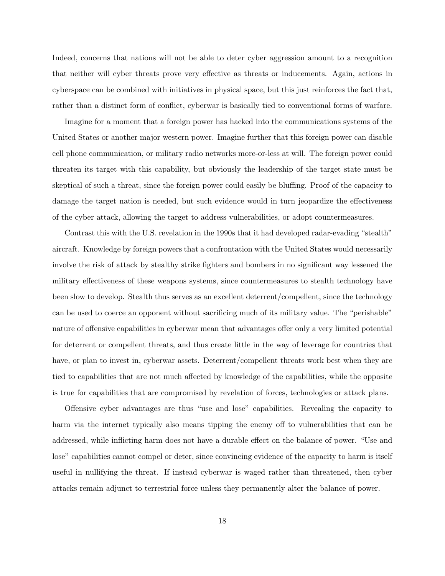Indeed, concerns that nations will not be able to deter cyber aggression amount to a recognition that neither will cyber threats prove very effective as threats or inducements. Again, actions in cyberspace can be combined with initiatives in physical space, but this just reinforces the fact that, rather than a distinct form of conflict, cyberwar is basically tied to conventional forms of warfare.

Imagine for a moment that a foreign power has hacked into the communications systems of the United States or another major western power. Imagine further that this foreign power can disable cell phone communication, or military radio networks more-or-less at will. The foreign power could threaten its target with this capability, but obviously the leadership of the target state must be skeptical of such a threat, since the foreign power could easily be bluffing. Proof of the capacity to damage the target nation is needed, but such evidence would in turn jeopardize the effectiveness of the cyber attack, allowing the target to address vulnerabilities, or adopt countermeasures.

Contrast this with the U.S. revelation in the 1990s that it had developed radar-evading "stealth" aircraft. Knowledge by foreign powers that a confrontation with the United States would necessarily involve the risk of attack by stealthy strike fighters and bombers in no significant way lessened the military effectiveness of these weapons systems, since countermeasures to stealth technology have been slow to develop. Stealth thus serves as an excellent deterrent/compellent, since the technology can be used to coerce an opponent without sacrificing much of its military value. The "perishable" nature of offensive capabilities in cyberwar mean that advantages offer only a very limited potential for deterrent or compellent threats, and thus create little in the way of leverage for countries that have, or plan to invest in, cyberwar assets. Deterrent/compellent threats work best when they are tied to capabilities that are not much affected by knowledge of the capabilities, while the opposite is true for capabilities that are compromised by revelation of forces, technologies or attack plans.

Offensive cyber advantages are thus "use and lose" capabilities. Revealing the capacity to harm via the internet typically also means tipping the enemy off to vulnerabilities that can be addressed, while inflicting harm does not have a durable effect on the balance of power. "Use and lose" capabilities cannot compel or deter, since convincing evidence of the capacity to harm is itself useful in nullifying the threat. If instead cyberwar is waged rather than threatened, then cyber attacks remain adjunct to terrestrial force unless they permanently alter the balance of power.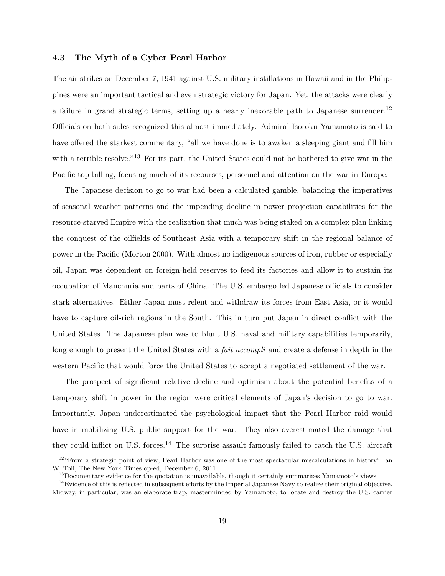## 4.3 The Myth of a Cyber Pearl Harbor

The air strikes on December 7, 1941 against U.S. military instillations in Hawaii and in the Philippines were an important tactical and even strategic victory for Japan. Yet, the attacks were clearly a failure in grand strategic terms, setting up a nearly inexorable path to Japanese surrender.<sup>12</sup> Officials on both sides recognized this almost immediately. Admiral Isoroku Yamamoto is said to have offered the starkest commentary, "all we have done is to awaken a sleeping giant and fill him with a terrible resolve."<sup>13</sup> For its part, the United States could not be bothered to give war in the Pacific top billing, focusing much of its recourses, personnel and attention on the war in Europe.

The Japanese decision to go to war had been a calculated gamble, balancing the imperatives of seasonal weather patterns and the impending decline in power projection capabilities for the resource-starved Empire with the realization that much was being staked on a complex plan linking the conquest of the oilfields of Southeast Asia with a temporary shift in the regional balance of power in the Pacific (Morton 2000). With almost no indigenous sources of iron, rubber or especially oil, Japan was dependent on foreign-held reserves to feed its factories and allow it to sustain its occupation of Manchuria and parts of China. The U.S. embargo led Japanese officials to consider stark alternatives. Either Japan must relent and withdraw its forces from East Asia, or it would have to capture oil-rich regions in the South. This in turn put Japan in direct conflict with the United States. The Japanese plan was to blunt U.S. naval and military capabilities temporarily, long enough to present the United States with a *fait accompli* and create a defense in depth in the western Pacific that would force the United States to accept a negotiated settlement of the war.

The prospect of significant relative decline and optimism about the potential benefits of a temporary shift in power in the region were critical elements of Japan's decision to go to war. Importantly, Japan underestimated the psychological impact that the Pearl Harbor raid would have in mobilizing U.S. public support for the war. They also overestimated the damage that they could inflict on U.S. forces.<sup>14</sup> The surprise assault famously failed to catch the U.S. aircraft

<sup>&</sup>lt;sup>12</sup>"From a strategic point of view, Pearl Harbor was one of the most spectacular miscalculations in history" Ian W. Toll, The New York Times op-ed, December 6, 2011.

<sup>&</sup>lt;sup>13</sup>Documentary evidence for the quotation is unavailable, though it certainly summarizes Yamamoto's views.

 $14$ Evidence of this is reflected in subsequent efforts by the Imperial Japanese Navy to realize their original objective. Midway, in particular, was an elaborate trap, masterminded by Yamamoto, to locate and destroy the U.S. carrier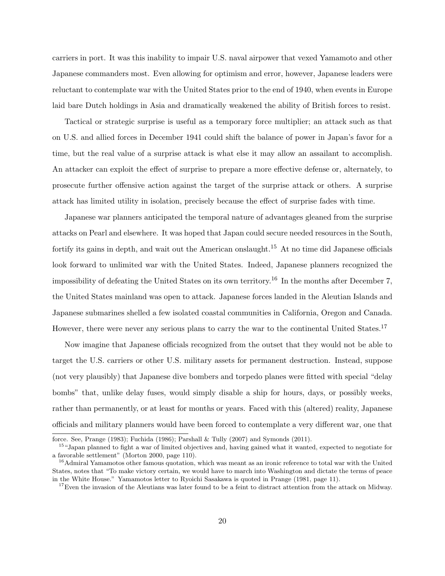carriers in port. It was this inability to impair U.S. naval airpower that vexed Yamamoto and other Japanese commanders most. Even allowing for optimism and error, however, Japanese leaders were reluctant to contemplate war with the United States prior to the end of 1940, when events in Europe laid bare Dutch holdings in Asia and dramatically weakened the ability of British forces to resist.

Tactical or strategic surprise is useful as a temporary force multiplier; an attack such as that on U.S. and allied forces in December 1941 could shift the balance of power in Japan's favor for a time, but the real value of a surprise attack is what else it may allow an assailant to accomplish. An attacker can exploit the effect of surprise to prepare a more effective defense or, alternately, to prosecute further offensive action against the target of the surprise attack or others. A surprise attack has limited utility in isolation, precisely because the effect of surprise fades with time.

Japanese war planners anticipated the temporal nature of advantages gleaned from the surprise attacks on Pearl and elsewhere. It was hoped that Japan could secure needed resources in the South, fortify its gains in depth, and wait out the American onslaught.<sup>15</sup> At no time did Japanese officials look forward to unlimited war with the United States. Indeed, Japanese planners recognized the impossibility of defeating the United States on its own territory.<sup>16</sup> In the months after December 7, the United States mainland was open to attack. Japanese forces landed in the Aleutian Islands and Japanese submarines shelled a few isolated coastal communities in California, Oregon and Canada. However, there were never any serious plans to carry the war to the continental United States.<sup>17</sup>

Now imagine that Japanese officials recognized from the outset that they would not be able to target the U.S. carriers or other U.S. military assets for permanent destruction. Instead, suppose (not very plausibly) that Japanese dive bombers and torpedo planes were fitted with special "delay bombs" that, unlike delay fuses, would simply disable a ship for hours, days, or possibly weeks, rather than permanently, or at least for months or years. Faced with this (altered) reality, Japanese officials and military planners would have been forced to contemplate a very different war, one that

force. See, Prange  $(1983)$ ; Fuchida  $(1986)$ ; Parshall & Tully  $(2007)$  and Symonds  $(2011)$ .

<sup>&</sup>lt;sup>15</sup>"Japan planned to fight a war of limited objectives and, having gained what it wanted, expected to negotiate for a favorable settlement" (Morton 2000, page 110).

<sup>&</sup>lt;sup>16</sup>Admiral Yamamotos other famous quotation, which was meant as an ironic reference to total war with the United States, notes that "To make victory certain, we would have to march into Washington and dictate the terms of peace in the White House." Yamamotos letter to Ryoichi Sasakawa is quoted in Prange (1981, page 11).

 $17$ Even the invasion of the Aleutians was later found to be a feint to distract attention from the attack on Midway.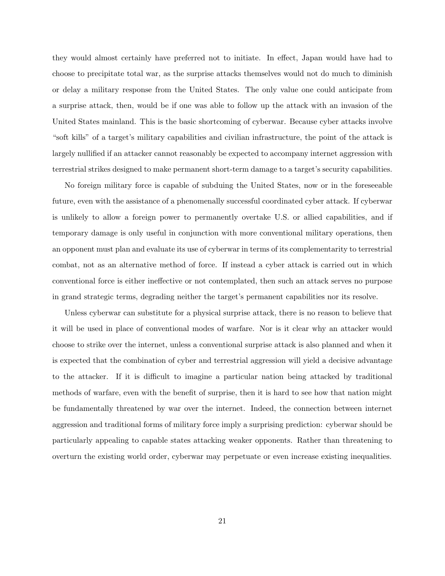they would almost certainly have preferred not to initiate. In effect, Japan would have had to choose to precipitate total war, as the surprise attacks themselves would not do much to diminish or delay a military response from the United States. The only value one could anticipate from a surprise attack, then, would be if one was able to follow up the attack with an invasion of the United States mainland. This is the basic shortcoming of cyberwar. Because cyber attacks involve "soft kills" of a target's military capabilities and civilian infrastructure, the point of the attack is largely nullified if an attacker cannot reasonably be expected to accompany internet aggression with terrestrial strikes designed to make permanent short-term damage to a target's security capabilities.

No foreign military force is capable of subduing the United States, now or in the foreseeable future, even with the assistance of a phenomenally successful coordinated cyber attack. If cyberwar is unlikely to allow a foreign power to permanently overtake U.S. or allied capabilities, and if temporary damage is only useful in conjunction with more conventional military operations, then an opponent must plan and evaluate its use of cyberwar in terms of its complementarity to terrestrial combat, not as an alternative method of force. If instead a cyber attack is carried out in which conventional force is either ineffective or not contemplated, then such an attack serves no purpose in grand strategic terms, degrading neither the target's permanent capabilities nor its resolve.

Unless cyberwar can substitute for a physical surprise attack, there is no reason to believe that it will be used in place of conventional modes of warfare. Nor is it clear why an attacker would choose to strike over the internet, unless a conventional surprise attack is also planned and when it is expected that the combination of cyber and terrestrial aggression will yield a decisive advantage to the attacker. If it is difficult to imagine a particular nation being attacked by traditional methods of warfare, even with the benefit of surprise, then it is hard to see how that nation might be fundamentally threatened by war over the internet. Indeed, the connection between internet aggression and traditional forms of military force imply a surprising prediction: cyberwar should be particularly appealing to capable states attacking weaker opponents. Rather than threatening to overturn the existing world order, cyberwar may perpetuate or even increase existing inequalities.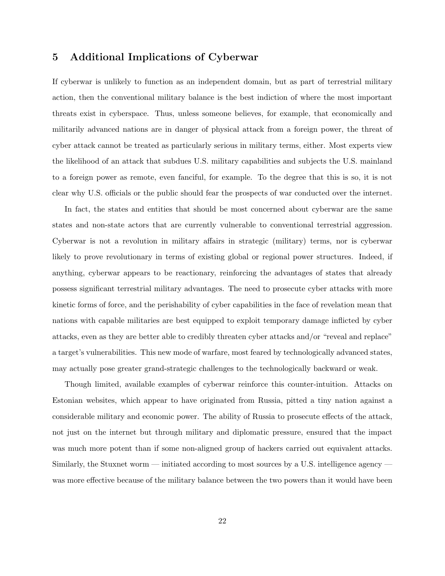# 5 Additional Implications of Cyberwar

If cyberwar is unlikely to function as an independent domain, but as part of terrestrial military action, then the conventional military balance is the best indiction of where the most important threats exist in cyberspace. Thus, unless someone believes, for example, that economically and militarily advanced nations are in danger of physical attack from a foreign power, the threat of cyber attack cannot be treated as particularly serious in military terms, either. Most experts view the likelihood of an attack that subdues U.S. military capabilities and subjects the U.S. mainland to a foreign power as remote, even fanciful, for example. To the degree that this is so, it is not clear why U.S. officials or the public should fear the prospects of war conducted over the internet.

In fact, the states and entities that should be most concerned about cyberwar are the same states and non-state actors that are currently vulnerable to conventional terrestrial aggression. Cyberwar is not a revolution in military affairs in strategic (military) terms, nor is cyberwar likely to prove revolutionary in terms of existing global or regional power structures. Indeed, if anything, cyberwar appears to be reactionary, reinforcing the advantages of states that already possess significant terrestrial military advantages. The need to prosecute cyber attacks with more kinetic forms of force, and the perishability of cyber capabilities in the face of revelation mean that nations with capable militaries are best equipped to exploit temporary damage inflicted by cyber attacks, even as they are better able to credibly threaten cyber attacks and/or "reveal and replace" a target's vulnerabilities. This new mode of warfare, most feared by technologically advanced states, may actually pose greater grand-strategic challenges to the technologically backward or weak.

Though limited, available examples of cyberwar reinforce this counter-intuition. Attacks on Estonian websites, which appear to have originated from Russia, pitted a tiny nation against a considerable military and economic power. The ability of Russia to prosecute effects of the attack, not just on the internet but through military and diplomatic pressure, ensured that the impact was much more potent than if some non-aligned group of hackers carried out equivalent attacks. Similarly, the Stuxnet worm — initiated according to most sources by a U.S. intelligence agency was more effective because of the military balance between the two powers than it would have been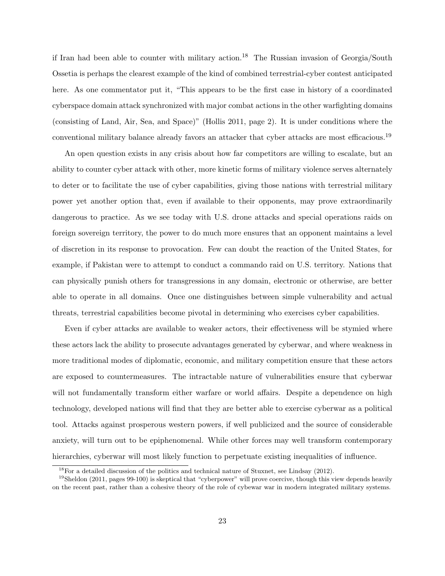if Iran had been able to counter with military action.<sup>18</sup> The Russian invasion of Georgia/South Ossetia is perhaps the clearest example of the kind of combined terrestrial-cyber contest anticipated here. As one commentator put it, "This appears to be the first case in history of a coordinated cyberspace domain attack synchronized with major combat actions in the other warfighting domains (consisting of Land, Air, Sea, and Space)" (Hollis 2011, page 2). It is under conditions where the conventional military balance already favors an attacker that cyber attacks are most efficacious.<sup>19</sup>

An open question exists in any crisis about how far competitors are willing to escalate, but an ability to counter cyber attack with other, more kinetic forms of military violence serves alternately to deter or to facilitate the use of cyber capabilities, giving those nations with terrestrial military power yet another option that, even if available to their opponents, may prove extraordinarily dangerous to practice. As we see today with U.S. drone attacks and special operations raids on foreign sovereign territory, the power to do much more ensures that an opponent maintains a level of discretion in its response to provocation. Few can doubt the reaction of the United States, for example, if Pakistan were to attempt to conduct a commando raid on U.S. territory. Nations that can physically punish others for transgressions in any domain, electronic or otherwise, are better able to operate in all domains. Once one distinguishes between simple vulnerability and actual threats, terrestrial capabilities become pivotal in determining who exercises cyber capabilities.

Even if cyber attacks are available to weaker actors, their effectiveness will be stymied where these actors lack the ability to prosecute advantages generated by cyberwar, and where weakness in more traditional modes of diplomatic, economic, and military competition ensure that these actors are exposed to countermeasures. The intractable nature of vulnerabilities ensure that cyberwar will not fundamentally transform either warfare or world affairs. Despite a dependence on high technology, developed nations will find that they are better able to exercise cyberwar as a political tool. Attacks against prosperous western powers, if well publicized and the source of considerable anxiety, will turn out to be epiphenomenal. While other forces may well transform contemporary hierarchies, cyberwar will most likely function to perpetuate existing inequalities of influence.

<sup>&</sup>lt;sup>18</sup>For a detailed discussion of the politics and technical nature of Stuxnet, see Lindsay (2012).

<sup>&</sup>lt;sup>19</sup>Sheldon (2011, pages 99-100) is skeptical that "cyberpower" will prove coercive, though this view depends heavily on the recent past, rather than a cohesive theory of the role of cybewar war in modern integrated military systems.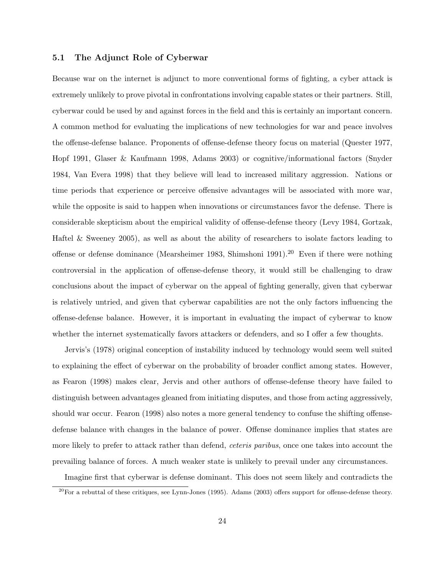## 5.1 The Adjunct Role of Cyberwar

Because war on the internet is adjunct to more conventional forms of fighting, a cyber attack is extremely unlikely to prove pivotal in confrontations involving capable states or their partners. Still, cyberwar could be used by and against forces in the field and this is certainly an important concern. A common method for evaluating the implications of new technologies for war and peace involves the offense-defense balance. Proponents of offense-defense theory focus on material (Quester 1977, Hopf 1991, Glaser & Kaufmann 1998, Adams 2003) or cognitive/informational factors (Snyder 1984, Van Evera 1998) that they believe will lead to increased military aggression. Nations or time periods that experience or perceive offensive advantages will be associated with more war, while the opposite is said to happen when innovations or circumstances favor the defense. There is considerable skepticism about the empirical validity of offense-defense theory (Levy 1984, Gortzak, Haftel & Sweeney 2005), as well as about the ability of researchers to isolate factors leading to offense or defense dominance (Mearsheimer 1983, Shimshoni 1991).<sup>20</sup> Even if there were nothing controversial in the application of offense-defense theory, it would still be challenging to draw conclusions about the impact of cyberwar on the appeal of fighting generally, given that cyberwar is relatively untried, and given that cyberwar capabilities are not the only factors influencing the offense-defense balance. However, it is important in evaluating the impact of cyberwar to know whether the internet systematically favors attackers or defenders, and so I offer a few thoughts.

Jervis's (1978) original conception of instability induced by technology would seem well suited to explaining the effect of cyberwar on the probability of broader conflict among states. However, as Fearon (1998) makes clear, Jervis and other authors of offense-defense theory have failed to distinguish between advantages gleaned from initiating disputes, and those from acting aggressively, should war occur. Fearon (1998) also notes a more general tendency to confuse the shifting offensedefense balance with changes in the balance of power. Offense dominance implies that states are more likely to prefer to attack rather than defend, *ceteris paribus*, once one takes into account the prevailing balance of forces. A much weaker state is unlikely to prevail under any circumstances.

Imagine first that cyberwar is defense dominant. This does not seem likely and contradicts the

 $^{20}$ For a rebuttal of these critiques, see Lynn-Jones (1995). Adams (2003) offers support for offense-defense theory.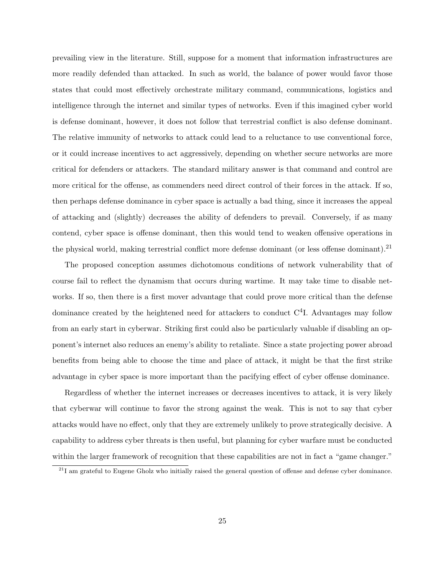prevailing view in the literature. Still, suppose for a moment that information infrastructures are more readily defended than attacked. In such as world, the balance of power would favor those states that could most effectively orchestrate military command, communications, logistics and intelligence through the internet and similar types of networks. Even if this imagined cyber world is defense dominant, however, it does not follow that terrestrial conflict is also defense dominant. The relative immunity of networks to attack could lead to a reluctance to use conventional force, or it could increase incentives to act aggressively, depending on whether secure networks are more critical for defenders or attackers. The standard military answer is that command and control are more critical for the offense, as commenders need direct control of their forces in the attack. If so, then perhaps defense dominance in cyber space is actually a bad thing, since it increases the appeal of attacking and (slightly) decreases the ability of defenders to prevail. Conversely, if as many contend, cyber space is offense dominant, then this would tend to weaken offensive operations in the physical world, making terrestrial conflict more defense dominant (or less offense dominant).<sup>21</sup>

The proposed conception assumes dichotomous conditions of network vulnerability that of course fail to reflect the dynamism that occurs during wartime. It may take time to disable networks. If so, then there is a first mover advantage that could prove more critical than the defense dominance created by the heightened need for attackers to conduct  $C<sup>4</sup>I$ . Advantages may follow from an early start in cyberwar. Striking first could also be particularly valuable if disabling an opponent's internet also reduces an enemy's ability to retaliate. Since a state projecting power abroad benefits from being able to choose the time and place of attack, it might be that the first strike advantage in cyber space is more important than the pacifying effect of cyber offense dominance.

Regardless of whether the internet increases or decreases incentives to attack, it is very likely that cyberwar will continue to favor the strong against the weak. This is not to say that cyber attacks would have no effect, only that they are extremely unlikely to prove strategically decisive. A capability to address cyber threats is then useful, but planning for cyber warfare must be conducted within the larger framework of recognition that these capabilities are not in fact a "game changer."

<sup>&</sup>lt;sup>21</sup>I am grateful to Eugene Gholz who initially raised the general question of offense and defense cyber dominance.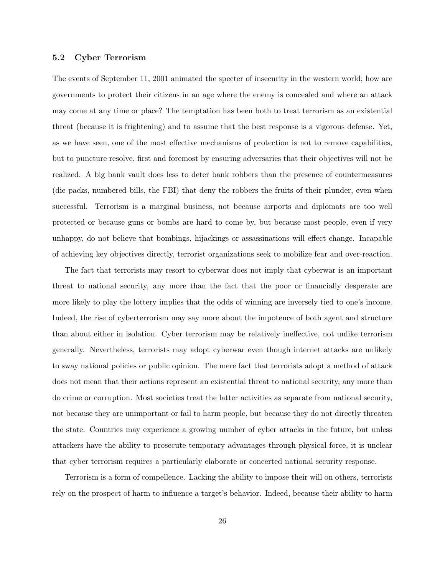## 5.2 Cyber Terrorism

The events of September 11, 2001 animated the specter of insecurity in the western world; how are governments to protect their citizens in an age where the enemy is concealed and where an attack may come at any time or place? The temptation has been both to treat terrorism as an existential threat (because it is frightening) and to assume that the best response is a vigorous defense. Yet, as we have seen, one of the most effective mechanisms of protection is not to remove capabilities, but to puncture resolve, first and foremost by ensuring adversaries that their objectives will not be realized. A big bank vault does less to deter bank robbers than the presence of countermeasures (die packs, numbered bills, the FBI) that deny the robbers the fruits of their plunder, even when successful. Terrorism is a marginal business, not because airports and diplomats are too well protected or because guns or bombs are hard to come by, but because most people, even if very unhappy, do not believe that bombings, hijackings or assassinations will effect change. Incapable of achieving key objectives directly, terrorist organizations seek to mobilize fear and over-reaction.

The fact that terrorists may resort to cyberwar does not imply that cyberwar is an important threat to national security, any more than the fact that the poor or financially desperate are more likely to play the lottery implies that the odds of winning are inversely tied to one's income. Indeed, the rise of cyberterrorism may say more about the impotence of both agent and structure than about either in isolation. Cyber terrorism may be relatively ineffective, not unlike terrorism generally. Nevertheless, terrorists may adopt cyberwar even though internet attacks are unlikely to sway national policies or public opinion. The mere fact that terrorists adopt a method of attack does not mean that their actions represent an existential threat to national security, any more than do crime or corruption. Most societies treat the latter activities as separate from national security, not because they are unimportant or fail to harm people, but because they do not directly threaten the state. Countries may experience a growing number of cyber attacks in the future, but unless attackers have the ability to prosecute temporary advantages through physical force, it is unclear that cyber terrorism requires a particularly elaborate or concerted national security response.

Terrorism is a form of compellence. Lacking the ability to impose their will on others, terrorists rely on the prospect of harm to influence a target's behavior. Indeed, because their ability to harm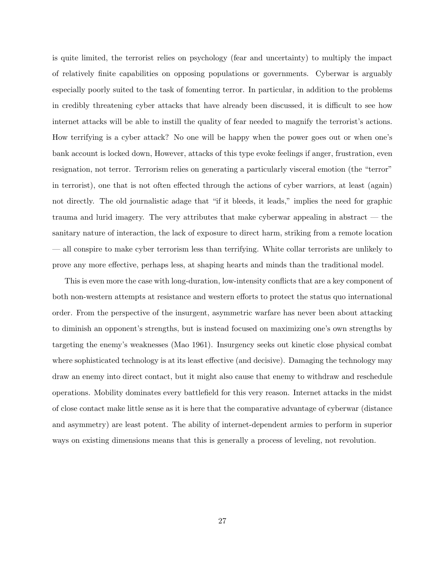is quite limited, the terrorist relies on psychology (fear and uncertainty) to multiply the impact of relatively finite capabilities on opposing populations or governments. Cyberwar is arguably especially poorly suited to the task of fomenting terror. In particular, in addition to the problems in credibly threatening cyber attacks that have already been discussed, it is difficult to see how internet attacks will be able to instill the quality of fear needed to magnify the terrorist's actions. How terrifying is a cyber attack? No one will be happy when the power goes out or when one's bank account is locked down, However, attacks of this type evoke feelings if anger, frustration, even resignation, not terror. Terrorism relies on generating a particularly visceral emotion (the "terror" in terrorist), one that is not often effected through the actions of cyber warriors, at least (again) not directly. The old journalistic adage that "if it bleeds, it leads," implies the need for graphic trauma and lurid imagery. The very attributes that make cyberwar appealing in abstract — the sanitary nature of interaction, the lack of exposure to direct harm, striking from a remote location — all conspire to make cyber terrorism less than terrifying. White collar terrorists are unlikely to prove any more effective, perhaps less, at shaping hearts and minds than the traditional model.

This is even more the case with long-duration, low-intensity conflicts that are a key component of both non-western attempts at resistance and western efforts to protect the status quo international order. From the perspective of the insurgent, asymmetric warfare has never been about attacking to diminish an opponent's strengths, but is instead focused on maximizing one's own strengths by targeting the enemy's weaknesses (Mao 1961). Insurgency seeks out kinetic close physical combat where sophisticated technology is at its least effective (and decisive). Damaging the technology may draw an enemy into direct contact, but it might also cause that enemy to withdraw and reschedule operations. Mobility dominates every battlefield for this very reason. Internet attacks in the midst of close contact make little sense as it is here that the comparative advantage of cyberwar (distance and asymmetry) are least potent. The ability of internet-dependent armies to perform in superior ways on existing dimensions means that this is generally a process of leveling, not revolution.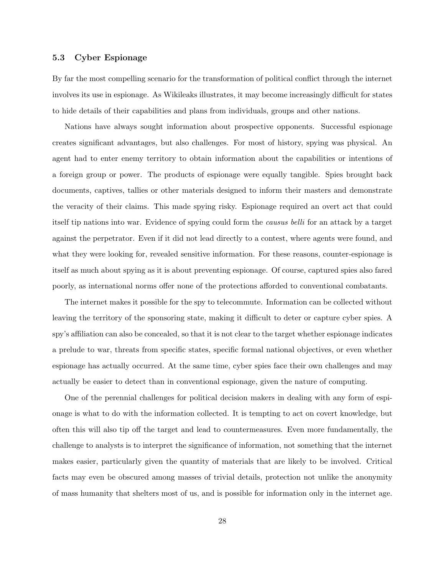## 5.3 Cyber Espionage

By far the most compelling scenario for the transformation of political conflict through the internet involves its use in espionage. As Wikileaks illustrates, it may become increasingly difficult for states to hide details of their capabilities and plans from individuals, groups and other nations.

Nations have always sought information about prospective opponents. Successful espionage creates significant advantages, but also challenges. For most of history, spying was physical. An agent had to enter enemy territory to obtain information about the capabilities or intentions of a foreign group or power. The products of espionage were equally tangible. Spies brought back documents, captives, tallies or other materials designed to inform their masters and demonstrate the veracity of their claims. This made spying risky. Espionage required an overt act that could itself tip nations into war. Evidence of spying could form the causus belli for an attack by a target against the perpetrator. Even if it did not lead directly to a contest, where agents were found, and what they were looking for, revealed sensitive information. For these reasons, counter-espionage is itself as much about spying as it is about preventing espionage. Of course, captured spies also fared poorly, as international norms offer none of the protections afforded to conventional combatants.

The internet makes it possible for the spy to telecommute. Information can be collected without leaving the territory of the sponsoring state, making it difficult to deter or capture cyber spies. A spy's affiliation can also be concealed, so that it is not clear to the target whether espionage indicates a prelude to war, threats from specific states, specific formal national objectives, or even whether espionage has actually occurred. At the same time, cyber spies face their own challenges and may actually be easier to detect than in conventional espionage, given the nature of computing.

One of the perennial challenges for political decision makers in dealing with any form of espionage is what to do with the information collected. It is tempting to act on covert knowledge, but often this will also tip off the target and lead to countermeasures. Even more fundamentally, the challenge to analysts is to interpret the significance of information, not something that the internet makes easier, particularly given the quantity of materials that are likely to be involved. Critical facts may even be obscured among masses of trivial details, protection not unlike the anonymity of mass humanity that shelters most of us, and is possible for information only in the internet age.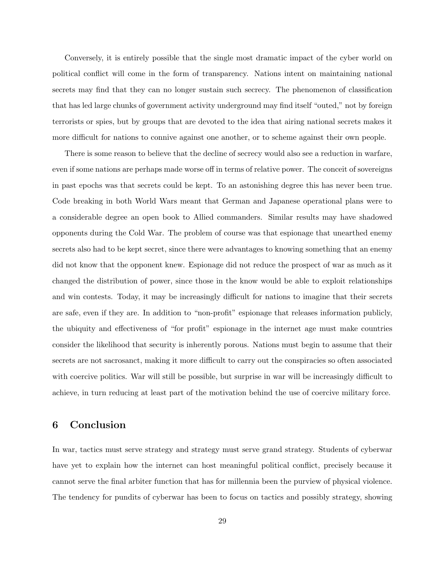Conversely, it is entirely possible that the single most dramatic impact of the cyber world on political conflict will come in the form of transparency. Nations intent on maintaining national secrets may find that they can no longer sustain such secrecy. The phenomenon of classification that has led large chunks of government activity underground may find itself "outed," not by foreign terrorists or spies, but by groups that are devoted to the idea that airing national secrets makes it more difficult for nations to connive against one another, or to scheme against their own people.

There is some reason to believe that the decline of secrecy would also see a reduction in warfare, even if some nations are perhaps made worse off in terms of relative power. The conceit of sovereigns in past epochs was that secrets could be kept. To an astonishing degree this has never been true. Code breaking in both World Wars meant that German and Japanese operational plans were to a considerable degree an open book to Allied commanders. Similar results may have shadowed opponents during the Cold War. The problem of course was that espionage that unearthed enemy secrets also had to be kept secret, since there were advantages to knowing something that an enemy did not know that the opponent knew. Espionage did not reduce the prospect of war as much as it changed the distribution of power, since those in the know would be able to exploit relationships and win contests. Today, it may be increasingly difficult for nations to imagine that their secrets are safe, even if they are. In addition to "non-profit" espionage that releases information publicly, the ubiquity and effectiveness of "for profit" espionage in the internet age must make countries consider the likelihood that security is inherently porous. Nations must begin to assume that their secrets are not sacrosanct, making it more difficult to carry out the conspiracies so often associated with coercive politics. War will still be possible, but surprise in war will be increasingly difficult to achieve, in turn reducing at least part of the motivation behind the use of coercive military force.

# 6 Conclusion

In war, tactics must serve strategy and strategy must serve grand strategy. Students of cyberwar have yet to explain how the internet can host meaningful political conflict, precisely because it cannot serve the final arbiter function that has for millennia been the purview of physical violence. The tendency for pundits of cyberwar has been to focus on tactics and possibly strategy, showing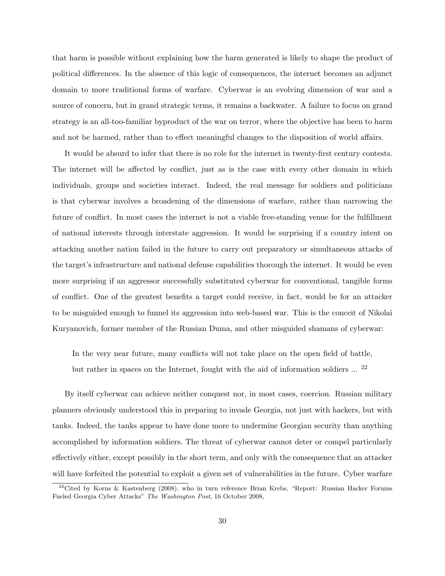that harm is possible without explaining how the harm generated is likely to shape the product of political differences. In the absence of this logic of consequences, the internet becomes an adjunct domain to more traditional forms of warfare. Cyberwar is an evolving dimension of war and a source of concern, but in grand strategic terms, it remains a backwater. A failure to focus on grand strategy is an all-too-familiar byproduct of the war on terror, where the objective has been to harm and not be harmed, rather than to effect meaningful changes to the disposition of world affairs.

It would be absurd to infer that there is no role for the internet in twenty-first century contests. The internet will be affected by conflict, just as is the case with every other domain in which individuals, groups and societies interact. Indeed, the real message for soldiers and politicians is that cyberwar involves a broadening of the dimensions of warfare, rather than narrowing the future of conflict. In most cases the internet is not a viable free-standing venue for the fulfillment of national interests through interstate aggression. It would be surprising if a country intent on attacking another nation failed in the future to carry out preparatory or simultaneous attacks of the target's infrastructure and national defense capabilities thorough the internet. It would be even more surprising if an aggressor successfully substituted cyberwar for conventional, tangible forms of conflict. One of the greatest benefits a target could receive, in fact, would be for an attacker to be misguided enough to funnel its aggression into web-based war. This is the conceit of Nikolai Kuryanovich, former member of the Russian Duma, and other misguided shamans of cyberwar:

In the very near future, many conflicts will not take place on the open field of battle, but rather in spaces on the Internet, fought with the aid of information soldiers  $\ldots$  <sup>22</sup>

By itself cyberwar can achieve neither conquest nor, in most cases, coercion. Russian military planners obviously understood this in preparing to invade Georgia, not just with hackers, but with tanks. Indeed, the tanks appear to have done more to undermine Georgian security than anything accomplished by information soldiers. The threat of cyberwar cannot deter or compel particularly effectively either, except possibly in the short term, and only with the consequence that an attacker will have forfeited the potential to exploit a given set of vulnerabilities in the future. Cyber warfare

<sup>&</sup>lt;sup>22</sup>Cited by Korns & Kastenberg (2008), who in turn reference Brian Krebs, "Report: Russian Hacker Forums Fueled Georgia Cyber Attacks" The Washington Post, 16 October 2008,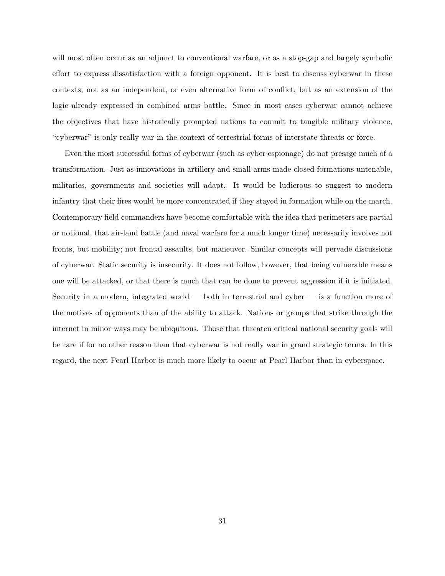will most often occur as an adjunct to conventional warfare, or as a stop-gap and largely symbolic effort to express dissatisfaction with a foreign opponent. It is best to discuss cyberwar in these contexts, not as an independent, or even alternative form of conflict, but as an extension of the logic already expressed in combined arms battle. Since in most cases cyberwar cannot achieve the objectives that have historically prompted nations to commit to tangible military violence, "cyberwar" is only really war in the context of terrestrial forms of interstate threats or force.

Even the most successful forms of cyberwar (such as cyber espionage) do not presage much of a transformation. Just as innovations in artillery and small arms made closed formations untenable, militaries, governments and societies will adapt. It would be ludicrous to suggest to modern infantry that their fires would be more concentrated if they stayed in formation while on the march. Contemporary field commanders have become comfortable with the idea that perimeters are partial or notional, that air-land battle (and naval warfare for a much longer time) necessarily involves not fronts, but mobility; not frontal assaults, but maneuver. Similar concepts will pervade discussions of cyberwar. Static security is insecurity. It does not follow, however, that being vulnerable means one will be attacked, or that there is much that can be done to prevent aggression if it is initiated. Security in a modern, integrated world — both in terrestrial and cyber — is a function more of the motives of opponents than of the ability to attack. Nations or groups that strike through the internet in minor ways may be ubiquitous. Those that threaten critical national security goals will be rare if for no other reason than that cyberwar is not really war in grand strategic terms. In this regard, the next Pearl Harbor is much more likely to occur at Pearl Harbor than in cyberspace.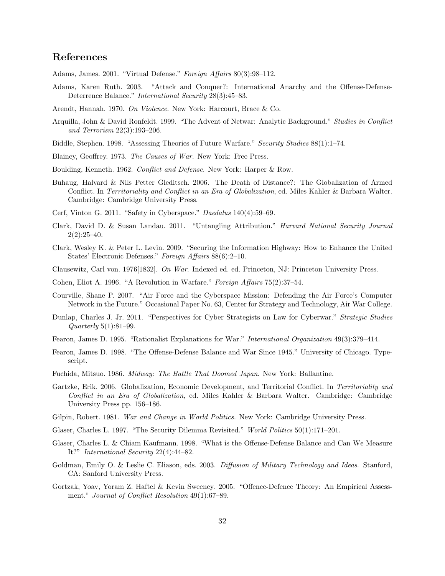# References

- Adams, James. 2001. "Virtual Defense." Foreign Affairs 80(3):98–112.
- Adams, Karen Ruth. 2003. "Attack and Conquer?: International Anarchy and the Offense-Defense-Deterrence Balance." *International Security* 28(3):45–83.
- Arendt, Hannah. 1970. On Violence. New York: Harcourt, Brace & Co.
- Arquilla, John & David Ronfeldt. 1999. "The Advent of Netwar: Analytic Background." Studies in Conflict and Terrorism 22(3):193–206.
- Biddle, Stephen. 1998. "Assessing Theories of Future Warfare." Security Studies 88(1):1–74.
- Blainey, Geoffrey. 1973. The Causes of War. New York: Free Press.
- Boulding, Kenneth. 1962. Conflict and Defense. New York: Harper & Row.
- Buhaug, Halvard & Nils Petter Gleditsch. 2006. The Death of Distance?: The Globalization of Armed Conflict. In Territoriality and Conflict in an Era of Globalization, ed. Miles Kahler & Barbara Walter. Cambridge: Cambridge University Press.
- Cerf, Vinton G. 2011. "Safety in Cyberspace." Daedalus 140(4):59–69.
- Clark, David D. & Susan Landau. 2011. "Untangling Attribution." Harvard National Security Journal  $2(2):25-40.$
- Clark, Wesley K. & Peter L. Levin. 2009. "Securing the Information Highway: How to Enhance the United States' Electronic Defenses." Foreign Affairs 88(6):2–10.
- Clausewitz, Carl von. 1976[1832]. On War. Indexed ed. ed. Princeton, NJ: Princeton University Press.
- Cohen, Eliot A. 1996. "A Revolution in Warfare." Foreign Affairs 75(2):37–54.
- Courville, Shane P. 2007. "Air Force and the Cyberspace Mission: Defending the Air Force's Computer Network in the Future." Occasional Paper No. 63, Center for Strategy and Technology, Air War College.
- Dunlap, Charles J. Jr. 2011. "Perspectives for Cyber Strategists on Law for Cyberwar." Strategic Studies Quarterly 5(1):81–99.
- Fearon, James D. 1995. "Rationalist Explanations for War." International Organization 49(3):379–414.
- Fearon, James D. 1998. "The Offense-Defense Balance and War Since 1945." University of Chicago. Typescript.
- Fuchida, Mitsuo. 1986. Midway: The Battle That Doomed Japan. New York: Ballantine.
- Gartzke, Erik. 2006. Globalization, Economic Development, and Territorial Conflict. In Territoriality and Conflict in an Era of Globalization, ed. Miles Kahler & Barbara Walter. Cambridge: Cambridge University Press pp. 156–186.
- Gilpin, Robert. 1981. War and Change in World Politics. New York: Cambridge University Press.
- Glaser, Charles L. 1997. "The Security Dilemma Revisited." World Politics 50(1):171–201.
- Glaser, Charles L. & Chiam Kaufmann. 1998. "What is the Offense-Defense Balance and Can We Measure It?" International Security 22(4):44–82.
- Goldman, Emily O. & Leslie C. Eliason, eds. 2003. Diffusion of Military Technology and Ideas. Stanford, CA: Sanford University Press.
- Gortzak, Yoav, Yoram Z. Haftel & Kevin Sweeney. 2005. "Offence-Defence Theory: An Empirical Assessment." Journal of Conflict Resolution 49(1):67-89.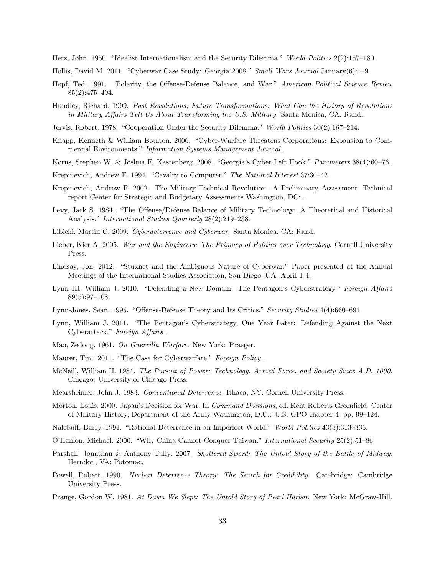Herz, John. 1950. "Idealist Internationalism and the Security Dilemma." World Politics 2(2):157–180.

- Hollis, David M. 2011. "Cyberwar Case Study: Georgia 2008." Small Wars Journal January(6):1–9.
- Hopf, Ted. 1991. "Polarity, the Offense-Defense Balance, and War." American Political Science Review 85(2):475–494.
- Hundley, Richard. 1999. Past Revolutions, Future Transformations: What Can the History of Revolutions in Military Affairs Tell Us About Transforming the U.S. Military. Santa Monica, CA: Rand.
- Jervis, Robert. 1978. "Cooperation Under the Security Dilemma." World Politics 30(2):167-214.
- Knapp, Kenneth & William Boulton. 2006. "Cyber-Warfare Threatens Corporations: Expansion to Commercial Environments." Information Systems Management Journal .
- Korns, Stephen W. & Joshua E. Kastenberg. 2008. "Georgia's Cyber Left Hook." Parameters 38(4):60–76.
- Krepinevich, Andrew F. 1994. "Cavalry to Computer." The National Interest 37:30–42.
- Krepinevich, Andrew F. 2002. The Military-Technical Revolution: A Preliminary Assessment. Technical report Center for Strategic and Budgetary Assessments Washington, DC: .
- Levy, Jack S. 1984. "The Offense/Defense Balance of Military Technology: A Theoretical and Historical Analysis." International Studies Quarterly 28(2):219–238.
- Libicki, Martin C. 2009. Cyberdeterrence and Cyberwar. Santa Monica, CA: Rand.
- Lieber, Kier A. 2005. War and the Engineers: The Primacy of Politics over Technology. Cornell University Press.
- Lindsay, Jon. 2012. "Stuxnet and the Ambiguous Nature of Cyberwar." Paper presented at the Annual Meetings of the International Studies Association, San Diego, CA. April 1-4.
- Lynn III, William J. 2010. "Defending a New Domain: The Pentagon's Cyberstrategy." Foreign Affairs 89(5):97–108.
- Lynn-Jones, Sean. 1995. "Offense-Defense Theory and Its Critics." Security Studies 4(4):660–691.
- Lynn, William J. 2011. "The Pentagon's Cyberstrategy, One Year Later: Defending Against the Next Cyberattack." Foreign Affairs .
- Mao, Zedong. 1961. On Guerrilla Warfare. New York: Praeger.
- Maurer, Tim. 2011. "The Case for Cyberwarfare." Foreign Policy.
- McNeill, William H. 1984. The Pursuit of Power: Technology, Armed Force, and Society Since A.D. 1000. Chicago: University of Chicago Press.
- Mearsheimer, John J. 1983. Conventional Deterrence. Ithaca, NY: Cornell University Press.
- Morton, Louis. 2000. Japan's Decision for War. In Command Decisions, ed. Kent Roberts Greenfield. Center of Military History, Department of the Army Washington, D.C.: U.S. GPO chapter 4, pp. 99–124.
- Nalebuff, Barry. 1991. "Rational Deterrence in an Imperfect World." World Politics 43(3):313–335.
- O'Hanlon, Michael. 2000. "Why China Cannot Conquer Taiwan." International Security 25(2):51–86.
- Parshall, Jonathan & Anthony Tully. 2007. Shattered Sword: The Untold Story of the Battle of Midway. Herndon, VA: Potomac.
- Powell, Robert. 1990. Nuclear Deterrence Theory: The Search for Credibility. Cambridge: Cambridge University Press.
- Prange, Gordon W. 1981. At Dawn We Slept: The Untold Story of Pearl Harbor. New York: McGraw-Hill.